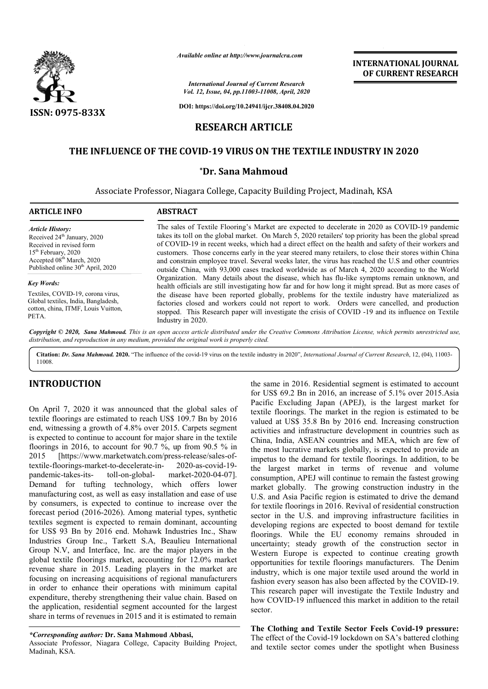

*Available online at http://www.journalcra.com*

*International Journal of Current Research Vol. 12, Issue, 04, pp.11003-11008, April, 2020*

**DOI: https://doi.org/10.24941/ijcr.38408.04.2020**

# **RESEARCH ARTICLE**

### **THE INFLUENCE OF THE COVID COVID-19 VIRUS ON THE TEXTILE INDUSTRY IN 2020 19**

### **\*Dr. Sana Mahmoud**

Associate Professor, Niagara College, Capacity Building Project, Madinah, KSA

| <b>ARTICLE INFO</b>                                                                                                                                                                                               | <b>ABSTRACT</b>                                                                                                                                                                                                                                                                                                                                                                                                                                                                                                                                                                                                                                                                                                                                                                                                                                                                                                                                                                                                                                                                                                                                                                  |
|-------------------------------------------------------------------------------------------------------------------------------------------------------------------------------------------------------------------|----------------------------------------------------------------------------------------------------------------------------------------------------------------------------------------------------------------------------------------------------------------------------------------------------------------------------------------------------------------------------------------------------------------------------------------------------------------------------------------------------------------------------------------------------------------------------------------------------------------------------------------------------------------------------------------------------------------------------------------------------------------------------------------------------------------------------------------------------------------------------------------------------------------------------------------------------------------------------------------------------------------------------------------------------------------------------------------------------------------------------------------------------------------------------------|
| <b>Article History:</b><br>Received 24 <sup>th</sup> January, 2020<br>Received in revised form<br>$15th$ February, 2020<br>Accepted 08 <sup>th</sup> March, 2020<br>Published online 30 <sup>th</sup> April, 2020 | The sales of Textile Flooring's Market are expected to decelerate in 2020 as COVID-19 pandemic<br>takes its toll on the global market. On March 5, 2020 retailers' top priority has been the global spread<br>of COVID-19 in recent weeks, which had a direct effect on the health and safety of their workers and<br>customers. Those concerns early in the year steered many retailers, to close their stores within China<br>and constrain employee travel. Several weeks later, the virus has reached the U.S and other countries<br>outside China, with 93,000 cases tracked worldwide as of March 4, 2020 according to the World<br>Organization. Many details about the disease, which has flu-like symptoms remain unknown, and<br>health officials are still investigating how far and for how long it might spread. But as more cases of<br>the disease have been reported globally, problems for the textile industry have materialized as<br>factories closed and workers could not report to work. Orders were cancelled, and production<br>stopped. This Research paper will investigate the crisis of COVID -19 and its influence on Textile<br>Industry in 2020. |
| <b>Key Words:</b><br>Textiles, COVID-19, corona virus.<br>Global textiles, India, Bangladesh,<br>cotton, china, ITMF, Louis Vuitton,<br>PETA.                                                                     |                                                                                                                                                                                                                                                                                                                                                                                                                                                                                                                                                                                                                                                                                                                                                                                                                                                                                                                                                                                                                                                                                                                                                                                  |

Copyright © 2020, Sana Mahmoud. This is an open access article distributed under the Creative Commons Attribution License, which permits unrestricted use, *distribution, and reproduction in any medium, provided the original work is properly cited.*

Citation: Dr. Sana Mahmoud. 2020. "The influence of the covid-19 virus on the textile industry in 2020", International Journal of Current Research, 12, (04), 11003-11008.

## **INTRODUCTION**

On April 7, 2020 it was announced that the global sales of textile floorings are estimated to reach US\$ 109.7 Bn by 2016 end, witnessing a growth of 4.8% over 2015. Carpets segment is expected to continue to account for major share in the textile floorings in 2016, to account for 90.7 %, up from 90.5 % in 2015 [https://www.marketwatch.com/press-release/sales-oftextile-floorings-market-to-decelerate-inpandemic-takes-its-<br>toll-on-global-Demand for tufting technology, which offers lower manufacturing cost, as well as easy installation and ease of use by consumers, is expected to continue to increase over the forecast period (2016-2026). Among material types, synthetic textiles segment is expected to remain dominant, accounting for US\$ 93 Bn by 2016 end. Mohawk Industries Inc., Shaw Industries Group Inc., Tarkett S.A, Beaulieu International Group N.V, and Interface, Inc. are the major players in the global textile floorings market, accounting for 12.0% market , revenue share in 2015. Leading players in the market are focusing on increasing acquisitions of regional manufacturers in order to enhance their operations with minimum capital expenditure, thereby strengthening their value chain. Based on the application, residential segment accounted for the largest share in terms of revenues in 2015 and it is estimated to remain 2020-as-covid-19 market-2020-04-07].

Associate Professor, Niagara College, Capacity Building Project, Madinah, KSA.

the same in 2016. Residential segment is estimated to account for US\$ 69.2 Bn in 2016, an increase of 5.1% over 2015.Asia Pacific Excluding Japan (APEJ), is the largest market for textile floorings. The market in the region is estimated to be valued at US\$ 35.8 Bn by 2016 end. Increasing construction activities and infrastructure development in countries such as China, India, ASEAN countries and MEA, which are few of the most lucrative markets globally, is expected to provide an impetus to the demand for textile floorings. In addition, to be the largest market in terms of revenue and volume consumption, APEJ will continue to remain the fastest growing impetus to the demand for textile floorings. In addition, to be the largest market in terms of revenue and volume consumption, APEJ will continue to remain the fastest growing market globally. The growing construction indu U.S. and Asia Pacific region is estimated to drive the demand for textile floorings in 2016. Revival of residential construction sector in the U.S. and improving infrastructure facilities in developing regions are expected to boost demand for textile floorings. While the EU economy remains shrouded in uncertainty; steady growth of the construction sector in Western Europe is expected to continue creating growth opportunities for textile floorings manufacturers. The Denim industry, which is one major textile used around the world in fashion every season has also been affected by the COVID-19. This research paper will investigate the Textile Industry and This research paper will investigate the Textile Industry and how COVID-19 influenced this market in addition to the retail sector. same in 2016. Residential segment is estimated to account US\$ 69.2 Bn in 2016, an increase of 5.1% over 2015.Asia ific Excluding Japan (APEJ), is the largest market for ile floorings. The market in the region is estimated U.S. and Asia Pacific region is estimated to drive the demand<br>for textile floorings in 2016. Revival of residential construction<br>sector in the U.S. and improving infrastructure facilities in<br>developing regions are expected INTERNATIONAL JOURNAL<br>
OF CURRENT RESEARCH<br>
OF CURRENT RESEARCH<br>
OF CURRENT RESEARCH<br>
10 decelerate in 2020 as COVID-19 pandemic<br>
reiniders' top priority has been the global spread<br>
many retailers' to priority has been the

**INTERNATIONAL JOURNAL OF CURRENT RESEARCH**

The Clothing and Textile Sector Feels Covid-19 pressure: The effect of the Covid-19 lockdown on SA's battered clothing and textile sector comes under the spotlight when Business

*<sup>\*</sup>Corresponding author:* **Dr. Sana Mahmoud Abbasi,**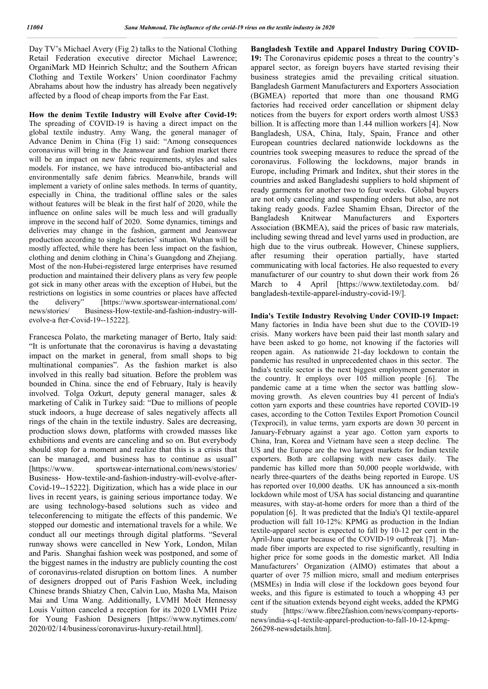Day TV's Michael Avery (Fig 2) talks to the National Clothing Retail Federation executive director Michael Lawrence; OrganiMark MD Heinrich Schultz; and the Southern African Clothing and Textile Workers' Union coordinator Fachmy Abrahams about how the industry has already been negatively affected by a flood of cheap imports from the Far East.

**How the denim Textile Industry will Evolve after Covid-19:**  The spreading of COVID-19 is having a direct impact on the global textile industry. Amy Wang, the general manager of Advance Denim in China (Fig 1) said: "Among consequences coronavirus will bring in the Jeanswear and fashion market there will be an impact on new fabric requirements, styles and sales models. For instance, we have introduced bio-antibacterial and environmentally safe denim fabrics. Meanwhile, brands will implement a variety of online sales methods. In terms of quantity, especially in China, the traditional offline sales or the sales without features will be bleak in the first half of 2020, while the influence on online sales will be much less and will gradually improve in the second half of 2020. Some dynamics, timings and deliveries may change in the fashion, garment and Jeanswear production according to single factories' situation. Wuhan will be mostly affected, while there has been less impact on the fashion, clothing and denim clothing in China's Guangdong and Zhejiang. Most of the non-Hubei-registered large enterprises have resumed production and maintained their delivery plans as very few people got sick in many other areas with the exception of Hubei, but the restrictions on logistics in some countries or places have affected the delivery" [https://www.sportswear-international.com/ news/stories/ Business-How-textile-and-fashion-industry-willevolve-a fter-Covid-19--15222].

Francesca Polato, the marketing manager of Berto, Italy said: "It is unfortunate that the coronavirus is having a devastating impact on the market in general, from small shops to big multinational companies". As the fashion market is also involved in this really bad situation. Before the problem was bounded in China. since the end of February, Italy is heavily involved. Tolga Ozkurt, deputy general manager, sales & marketing of Calik in Turkey said: "Due to millions of people stuck indoors, a huge decrease of sales negatively affects all rings of the chain in the textile industry. Sales are decreasing, production slows down, platforms with crowded masses like exhibitions and events are canceling and so on. But everybody should stop for a moment and realize that this is a crisis that can be managed, and business has to continue as usual" [https://www. sportswear-international.com/news/stories/ Business- How-textile-and-fashion-industry-will-evolve-after-Covid-19--15222]. Digitization, which has a wide place in our lives in recent years, is gaining serious importance today. We are using technology-based solutions such as video and teleconferencing to mitigate the effects of this pandemic. We stopped our domestic and international travels for a while. We conduct all our meetings through digital platforms. "Several runway shows were cancelled in New York, London, Milan and Paris. Shanghai fashion week was postponed, and some of the biggest names in the industry are publicly counting the cost of coronavirus-related disruption on bottom lines. A number of designers dropped out of Paris Fashion Week, including Chinese brands Shiatzy Chen, Calvin Luo, Masha Ma, Maison Mai and Uma Wang. Additionally, LVMH Moët Hennessy Louis Vuitton canceled a reception for its 2020 LVMH Prize for Young Fashion Designers [https://www.nytimes.com/ 2020/02/14/business/coronavirus-luxury-retail.html].

**Bangladesh Textile and Apparel Industry During COVID-19:** The Coronavirus epidemic poses a threat to the country's apparel sector, as foreign buyers have started revising their business strategies amid the prevailing critical situation. Bangladesh Garment Manufacturers and Exporters Association (BGMEA) reported that more than one thousand RMG factories had received order cancellation or shipment delay notices from the buyers for export orders worth almost US\$3 billion. It is affecting more than 1.44 million workers [4]. Now Bangladesh, USA, China, Italy, Spain, France and other European countries declared nationwide lockdowns as the countries took sweeping measures to reduce the spread of the coronavirus. Following the lockdowns, major brands in Europe, including Primark and Inditex, shut their stores in the countries and asked Bangladeshi suppliers to hold shipment of ready garments for another two to four weeks. Global buyers are not only canceling and suspending orders but also, are not taking ready goods. Fazlee Shamim Ehsan, Director of the Bangladesh Knitwear Manufacturers and Exporters Association (BKMEA), said the prices of basic raw materials, including sewing thread and level yarns used in production, are high due to the virus outbreak. However, Chinese suppliers, after resuming their operation partially, have started communicating with local factories. He also requested to every manufacturer of our country to shut down their work from 26 March to 4 April [https://www.textiletoday.com. bd/ bangladesh-textile-apparel-industry-covid-19/].

**India's Textile Industry Revolving Under COVID-19 Impact:**  Many factories in India have been shut due to the COVID-19 crisis. Many workers have been paid their last month salary and have been asked to go home, not knowing if the factories will reopen again. As nationwide 21-day lockdown to contain the pandemic has resulted in unprecedented chaos in this sector. The India's textile sector is the next biggest employment generator in the country. It employs over 105 million people [6]. The pandemic came at a time when the sector was battling slowmoving growth. As eleven countries buy 41 percent of India's cotton yarn exports and these countries have reported COVID-19 cases, according to the Cotton Textiles Export Promotion Council (Texprocil), in value terms, yarn exports are down 30 percent in January-February against a year ago. Cotton yarn exports to China, Iran, Korea and Vietnam have seen a steep decline. The US and the Europe are the two largest markets for Indian textile exporters. Both are collapsing with new cases daily. The pandemic has killed more than 50,000 people worldwide, with nearly three-quarters of the deaths being reported in Europe. US has reported over 10,000 deaths. UK has announced a six-month lockdown while most of USA has social distancing and quarantine measures, with stay-at-home orders for more than a third of the population [6]. It was predicted that the India's Q1 textile-apparel production will fall 10-12%: KPMG as production in the Indian textile-apparel sector is expected to fall by 10-12 per cent in the April-June quarter because of the COVID-19 outbreak [7]. Manmade fiber imports are expected to rise significantly, resulting in higher price for some goods in the domestic market. All India Manufacturers' Organization (AIMO) estimates that about a quarter of over 75 million micro, small and medium enterprises (MSMEs) in India will close if the lockdown goes beyond four weeks, and this figure is estimated to touch a whopping 43 per cent if the situation extends beyond eight weeks, added the KPMG study [https://www.fibre2fashion.com/news/company-reportsnews/india-s-q1-textile-apparel-production-to-fall-10-12-kpmg-266298-newsdetails.htm].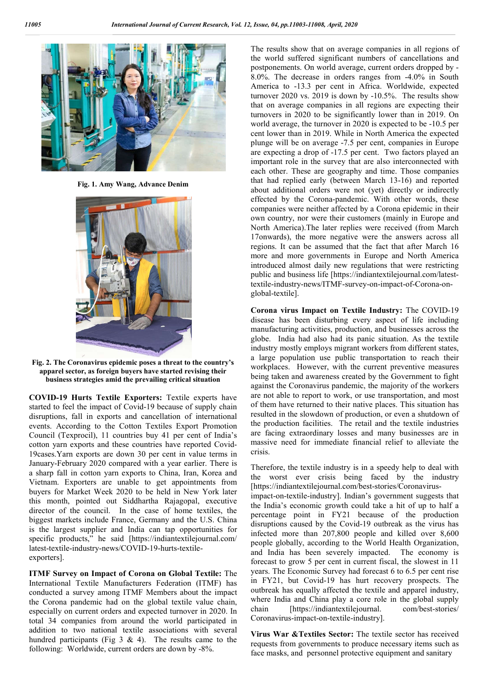

**Fig. 1. Amy Wang, Advance Denim**



**Fig. 2. The Coronavirus epidemic poses a threat to the country's apparel sector, as foreign buyers have started revising their business strategies amid the prevailing critical situation**

**COVID-19 Hurts Textile Exporters:** Textile experts have started to feel the impact of Covid-19 because of supply chain disruptions, fall in exports and cancellation of international events. According to the Cotton Textiles Export Promotion Council (Texprocil), 11 countries buy 41 per cent of India's cotton yarn exports and these countries have reported Covid-19cases.Yarn exports are down 30 per cent in value terms in January-February 2020 compared with a year earlier. There is a sharp fall in cotton yarn exports to China, Iran, Korea and Vietnam. Exporters are unable to get appointments from buyers for Market Week 2020 to be held in New York later this month, pointed out Siddhartha Rajagopal, executive director of the council. In the case of home textiles, the biggest markets include France, Germany and the U.S. China is the largest supplier and India can tap opportunities for specific products," he said [https://indiantextilejournal.com/ latest-textile-industry-news/COVID-19-hurts-textileexporters].

**ITMF Survey on Impact of Corona on Global Textile:** The International Textile Manufacturers Federation (ITMF) has conducted a survey among ITMF Members about the impact the Corona pandemic had on the global textile value chain, especially on current orders and expected turnover in 2020. In total 34 companies from around the world participated in addition to two national textile associations with several hundred participants (Fig  $3 \& 4$ ). The results came to the following: Worldwide, current orders are down by -8%.

The results show that on average companies in all regions of the world suffered significant numbers of cancellations and postponements. On world average, current orders dropped by - 8.0%. The decrease in orders ranges from -4.0% in South America to -13.3 per cent in Africa. Worldwide, expected turnover 2020 vs. 2019 is down by -10.5%. The results show that on average companies in all regions are expecting their turnovers in 2020 to be significantly lower than in 2019. On world average, the turnover in 2020 is expected to be -10.5 per cent lower than in 2019. While in North America the expected plunge will be on average -7.5 per cent, companies in Europe are expecting a drop of -17.5 per cent. Two factors played an important role in the survey that are also interconnected with each other. These are geography and time. Those companies that had replied early (between March 13-16) and reported about additional orders were not (yet) directly or indirectly effected by the Corona-pandemic. With other words, these companies were neither affected by a Corona epidemic in their own country, nor were their customers (mainly in Europe and North America).The later replies were received (from March 17onwards), the more negative were the answers across all regions. It can be assumed that the fact that after March 16 more and more governments in Europe and North America introduced almost daily new regulations that were restricting public and business life [https://indiantextilejournal.com/latesttextile-industry-news/ITMF-survey-on-impact-of-Corona-onglobal-textile].

**Corona virus Impact on Textile Industry:** The COVID-19 disease has been disturbing every aspect of life including manufacturing activities, production, and businesses across the globe. India had also had its panic situation. As the textile industry mostly employs migrant workers from different states, a large population use public transportation to reach their workplaces. However, with the current preventive measures being taken and awareness created by the Government to fight against the Coronavirus pandemic, the majority of the workers are not able to report to work, or use transportation, and most of them have returned to their native places. This situation has resulted in the slowdown of production, or even a shutdown of the production facilities. The retail and the textile industries are facing extraordinary losses and many businesses are in massive need for immediate financial relief to alleviate the crisis.

Therefore, the textile industry is in a speedy help to deal with the worst ever crisis being faced by the industry [https://indiantextilejournal.com/best-stories/Coronavirusimpact-on-textile-industry]. Indian's government suggests that the India's economic growth could take a hit of up to half a percentage point in FY21 because of the production disruptions caused by the Covid-19 outbreak as the virus has infected more than 207,800 people and killed over 8,600 people globally, according to the World Health Organization, and India has been severely impacted. The economy is forecast to grow 5 per cent in current fiscal, the slowest in 11 years. The Economic Survey had forecast 6 to 6.5 per cent rise in FY21, but Covid-19 has hurt recovery prospects. The outbreak has equally affected the textile and apparel industry, where India and China play a core role in the global supply chain [https://indiantextilejournal. com/best-stories/ Coronavirus-impact-on-textile-industry].

**Virus War &Textiles Sector:** The textile sector has received requests from governments to produce necessary items such as face masks, and personnel protective equipment and sanitary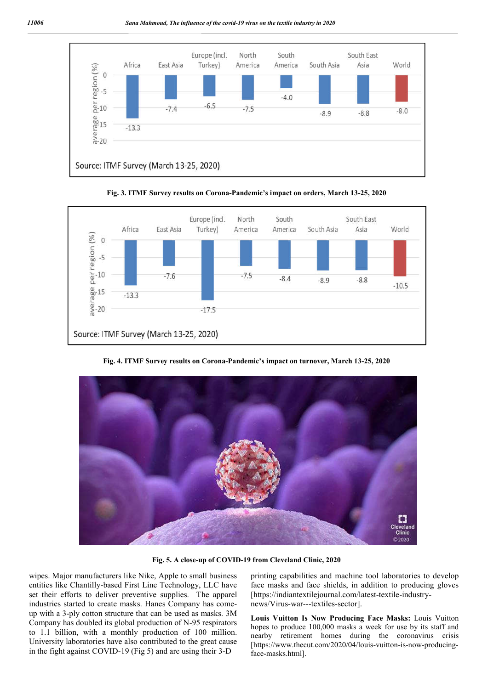



**Fig. 3. ITMF Survey results on Corona-Pandemic's impact on orders, March 13-25, 2020**

**Fig. 4. ITMF Survey results on Corona-Pandemic's impact on turnover, March 13-25, 2020**



**Fig. 5. A close-up of COVID-19 from Cleveland Clinic, 2020**

wipes. Major manufacturers like Nike, Apple to small business entities like Chantilly-based First Line Technology, LLC have set their efforts to deliver preventive supplies. The apparel industries started to create masks. Hanes Company has comeup with a 3-ply cotton structure that can be used as masks. 3M Company has doubled its global production of N-95 respirators to 1.1 billion, with a monthly production of 100 million. University laboratories have also contributed to the great cause in the fight against COVID-19 (Fig 5) and are using their 3-D

printing capabilities and machine tool laboratories to develop face masks and face shields, in addition to producing gloves [https://indiantextilejournal.com/latest-textile-industrynews/Virus-war---textiles-sector].

**Louis Vuitton Is Now Producing Face Masks:** Louis Vuitton hopes to produce 100,000 masks a week for use by its staff and nearby retirement homes during the coronavirus crisis [https://www.thecut.com/2020/04/louis-vuitton-is-now-producingface-masks.html].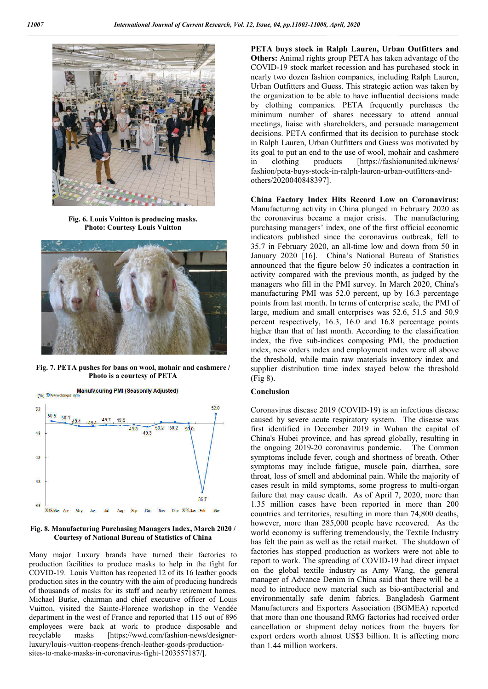

**Fig. 6. Louis Vuitton is producing masks. Photo: Courtesy Louis Vuitton**



**Fig. 7. PETA pushes for bans on wool, mohair and cashmere / Photo is a courtesy of PETA**



**Fig. 8. Manufacturing Purchasing Managers Index, March 2020 / Courtesy of National Bureau of Statistics of China**

Many major Luxury brands have turned their factories to production facilities to produce masks to help in the fight for COVID-19. Louis Vuitton has reopened 12 of its 16 leather goods production sites in the country with the aim of producing hundreds of thousands of masks for its staff and nearby retirement homes. Michael Burke, chairman and chief executive officer of Louis Vuitton, visited the Sainte-Florence workshop in the Vendée department in the west of France and reported that 115 out of 896 employees were back at work to produce disposable and recyclable masks [https://wwd.com/fashion-news/designerluxury/louis-vuitton-reopens-french-leather-goods-productionsites-to-make-masks-in-coronavirus-fight-1203557187/].

**PETA buys stock in Ralph Lauren, Urban Outfitters and Others:** Animal rights group PETA has taken advantage of the COVID-19 stock market recession and has purchased stock in nearly two dozen fashion companies, including Ralph Lauren, Urban Outfitters and Guess. This strategic action was taken by the organization to be able to have influential decisions made by clothing companies. PETA frequently purchases the minimum number of shares necessary to attend annual meetings, liaise with shareholders, and persuade management decisions. PETA confirmed that its decision to purchase stock in Ralph Lauren, Urban Outfitters and Guess was motivated by its goal to put an end to the use of wool, mohair and cashmere in clothing products [https://fashionunited.uk/news/ fashion/peta-buys-stock-in-ralph-lauren-urban-outfitters-andothers/2020040848397].

**China Factory Index Hits Record Low on Coronavirus:**  Manufacturing activity in China plunged in February 2020 as the coronavirus became a major crisis. The manufacturing purchasing managers' index, one of the first official economic indicators published since the coronavirus outbreak, fell to 35.7 in February 2020, an all-time low and down from 50 in January 2020 [16]. China's National Bureau of Statistics announced that the figure below 50 indicates a contraction in activity compared with the previous month, as judged by the managers who fill in the PMI survey. In March 2020, China's manufacturing PMI was 52.0 percent, up by 16.3 percentage points from last month. In terms of enterprise scale, the PMI of large, medium and small enterprises was 52.6, 51.5 and 50.9 percent respectively, 16.3, 16.0 and 16.8 percentage points higher than that of last month. According to the classification index, the five sub-indices composing PMI, the production index, new orders index and employment index were all above the threshold, while main raw materials inventory index and supplier distribution time index stayed below the threshold (Fig 8).

#### **Conclusion**

Coronavirus disease 2019 (COVID-19) is an infectious disease caused by severe acute respiratory system. The disease was first identified in December 2019 in Wuhan the capital of China's Hubei province, and has spread globally, resulting in the ongoing 2019-20 coronavirus pandemic. The Common symptoms include fever, cough and shortness of breath. Other symptoms may include fatigue, muscle pain, diarrhea, sore throat, loss of smell and abdominal pain. While the majority of cases result in mild symptoms, some progress to multi-organ failure that may cause death. As of April 7, 2020, more than 1.35 million cases have been reported in more than 200 countries and territories, resulting in more than 74,800 deaths, however, more than 285,000 people have recovered. As the world economy is suffering tremendously, the Textile Industry has felt the pain as well as the retail market. The shutdown of factories has stopped production as workers were not able to report to work. The spreading of COVID-19 had direct impact on the global textile industry as Amy Wang, the general manager of Advance Denim in China said that there will be a need to introduce new material such as bio-antibacterial and environmentally safe denim fabrics. Bangladesh Garment Manufacturers and Exporters Association (BGMEA) reported that more than one thousand RMG factories had received order cancellation or shipment delay notices from the buyers for export orders worth almost US\$3 billion. It is affecting more than 1.44 million workers.